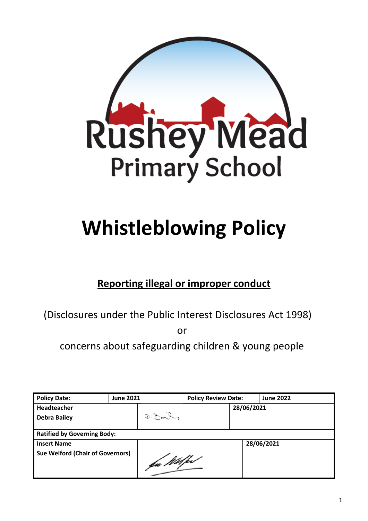

# **Whistleblowing Policy**

# **Reporting illegal or improper conduct**

(Disclosures under the Public Interest Disclosures Act 1998)

or

concerns about safeguarding children & young people

| <b>Policy Date:</b>                     | <b>June 2021</b> |              | <b>Policy Review Date:</b> |            | <b>June 2022</b> |
|-----------------------------------------|------------------|--------------|----------------------------|------------|------------------|
| <b>Headteacher</b>                      |                  |              |                            | 28/06/2021 |                  |
| <b>Debra Bailey</b>                     |                  | $D.20 - 2.5$ |                            |            |                  |
|                                         |                  |              |                            |            |                  |
| <b>Ratified by Governing Body:</b>      |                  |              |                            |            |                  |
| <b>Insert Name</b>                      |                  |              |                            |            | 28/06/2021       |
| <b>Sue Welford (Chair of Governors)</b> |                  | fa Wilfed    |                            |            |                  |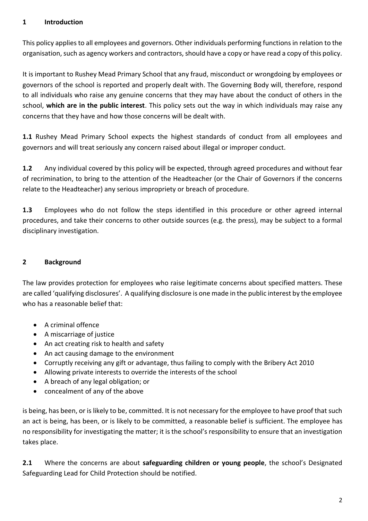#### **1 Introduction**

This policy applies to all employees and governors. Other individuals performing functions in relation to the organisation, such as agency workers and contractors, should have a copy or have read a copy of this policy.

It is important to Rushey Mead Primary School that any fraud, misconduct or wrongdoing by employees or governors of the school is reported and properly dealt with. The Governing Body will, therefore, respond to all individuals who raise any genuine concerns that they may have about the conduct of others in the school, **which are in the public interest**. This policy sets out the way in which individuals may raise any concerns that they have and how those concerns will be dealt with.

**1.1** Rushey Mead Primary School expects the highest standards of conduct from all employees and governors and will treat seriously any concern raised about illegal or improper conduct.

**1.2** Any individual covered by this policy will be expected, through agreed procedures and without fear of recrimination, to bring to the attention of the Headteacher (or the Chair of Governors if the concerns relate to the Headteacher) any serious impropriety or breach of procedure.

**1.3** Employees who do not follow the steps identified in this procedure or other agreed internal procedures, and take their concerns to other outside sources (e.g. the press), may be subject to a formal disciplinary investigation.

## **2 Background**

The law provides protection for employees who raise legitimate concerns about specified matters. These are called 'qualifying disclosures'. A qualifying disclosure is one made in the public interest by the employee who has a reasonable belief that:

- A criminal offence
- A miscarriage of justice
- An act creating risk to health and safety
- An act causing damage to the environment
- Corruptly receiving any gift or advantage, thus failing to comply with the Bribery Act 2010
- Allowing private interests to override the interests of the school
- A breach of any legal obligation; or
- concealment of any of the above

is being, has been, or is likely to be, committed. It is not necessary for the employee to have proof that such an act is being, has been, or is likely to be committed, a reasonable belief is sufficient. The employee has no responsibility for investigating the matter; it is the school's responsibility to ensure that an investigation takes place.

**2.1** Where the concerns are about **safeguarding children or young people**, the school's Designated Safeguarding Lead for Child Protection should be notified.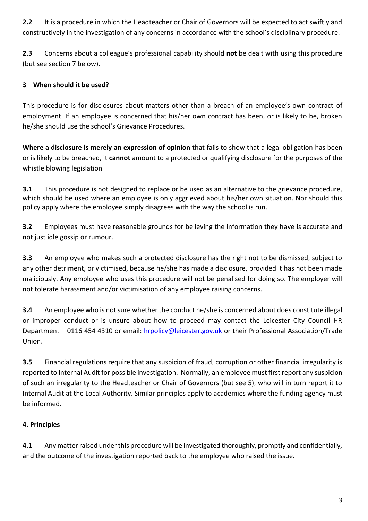**2.2** It is a procedure in which the Headteacher or Chair of Governors will be expected to act swiftly and constructively in the investigation of any concerns in accordance with the school's disciplinary procedure.

**2.3** Concerns about a colleague's professional capability should **not** be dealt with using this procedure (but see section 7 below).

# **3 When should it be used?**

This procedure is for disclosures about matters other than a breach of an employee's own contract of employment. If an employee is concerned that his/her own contract has been, or is likely to be, broken he/she should use the school's Grievance Procedures.

**Where a disclosure is merely an expression of opinion** that fails to show that a legal obligation has been or is likely to be breached, it **cannot** amount to a protected or qualifying disclosure for the purposes of the whistle blowing legislation

**3.1** This procedure is not designed to replace or be used as an alternative to the grievance procedure, which should be used where an employee is only aggrieved about his/her own situation. Nor should this policy apply where the employee simply disagrees with the way the school is run.

**3.2** Employees must have reasonable grounds for believing the information they have is accurate and not just idle gossip or rumour.

**3.3** An employee who makes such a protected disclosure has the right not to be dismissed, subject to any other detriment, or victimised, because he/she has made a disclosure, provided it has not been made maliciously. Any employee who uses this procedure will not be penalised for doing so. The employer will not tolerate harassment and/or victimisation of any employee raising concerns.

**3.4** An employee who is not sure whether the conduct he/she is concerned about does constitute illegal or improper conduct or is unsure about how to proceed may contact the Leicester City Council HR Department – 0116 454 4310 or email: [hrpolicy@leicester.gov.uk](mailto:hrpolicy@leicester.gov.uk) or their Professional Association/Trade Union.

**3.5** Financial regulations require that any suspicion of fraud, corruption or other financial irregularity is reported to Internal Audit for possible investigation. Normally, an employee must first report any suspicion of such an irregularity to the Headteacher or Chair of Governors (but see 5), who will in turn report it to Internal Audit at the Local Authority. Similar principles apply to academies where the funding agency must be informed.

# **4. Principles**

**4.1** Any matter raised under this procedure will be investigated thoroughly, promptly and confidentially, and the outcome of the investigation reported back to the employee who raised the issue.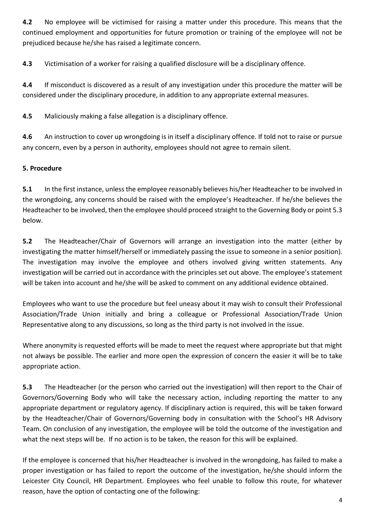**4.2** No employee will be victimised for raising a matter under this procedure. This means that the continued employment and opportunities for future promotion or training of the employee will not be prejudiced because he/she has raised a legitimate concern.

**4.3** Victimisation of a worker for raising a qualified disclosure will be a disciplinary offence.

**4.4** If misconduct is discovered as a result of any investigation under this procedure the matter will be considered under the disciplinary procedure, in addition to any appropriate external measures.

**4.5** Maliciously making a false allegation is a disciplinary offence.

**4.6** An instruction to cover up wrongdoing is in itself a disciplinary offence. If told not to raise or pursue any concern, even by a person in authority, employees should not agree to remain silent.

### **5. Procedure**

**5.1** In the first instance, unless the employee reasonably believes his/her Headteacher to be involved in the wrongdoing, any concerns should be raised with the employee's Headteacher. If he/she believes the Headteacher to be involved, then the employee should proceed straight to the Governing Body or point 5.3 below.

**5.2** The Headteacher/Chair of Governors will arrange an investigation into the matter (either by investigating the matter himself/herself or immediately passing the issue to someone in a senior position). The investigation may involve the employee and others involved giving written statements. Any investigation will be carried out in accordance with the principles set out above. The employee's statement will be taken into account and he/she will be asked to comment on any additional evidence obtained.

Employees who want to use the procedure but feel uneasy about it may wish to consult their Professional Association/Trade Union initially and bring a colleague or Professional Association/Trade Union Representative along to any discussions, so long as the third party is not involved in the issue.

Where anonymity is requested efforts will be made to meet the request where appropriate but that might not always be possible. The earlier and more open the expression of concern the easier it will be to take appropriate action.

**5.3** The Headteacher (or the person who carried out the investigation) will then report to the Chair of Governors/Governing Body who will take the necessary action, including reporting the matter to any appropriate department or regulatory agency. If disciplinary action is required, this will be taken forward by the Headteacher/Chair of Governors/Governing body in consultation with the School's HR Advisory Team. On conclusion of any investigation, the employee will be told the outcome of the investigation and what the next steps will be. If no action is to be taken, the reason for this will be explained.

If the employee is concerned that his/her Headteacher is involved in the wrongdoing, has failed to make a proper investigation or has failed to report the outcome of the investigation, he/she should inform the Leicester City Council, HR Department. Employees who feel unable to follow this route, for whatever reason, have the option of contacting one of the following: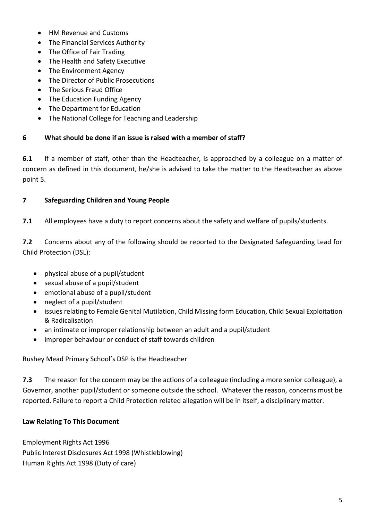- HM Revenue and Customs
- The Financial Services Authority
- The Office of Fair Trading
- The Health and Safety Executive
- The Environment Agency
- The Director of Public Prosecutions
- The Serious Fraud Office
- The Education Funding Agency
- The Department for Education
- The National College for Teaching and Leadership

#### **6 What should be done if an issue is raised with a member of staff?**

**6.1** If a member of staff, other than the Headteacher, is approached by a colleague on a matter of concern as defined in this document, he/she is advised to take the matter to the Headteacher as above point 5.

#### **7 Safeguarding Children and Young People**

**7.1** All employees have a duty to report concerns about the safety and welfare of pupils/students.

**7.2** Concerns about any of the following should be reported to the Designated Safeguarding Lead for Child Protection (DSL):

- physical abuse of a pupil/student
- sexual abuse of a pupil/student
- emotional abuse of a pupil/student
- neglect of a pupil/student
- issues relating to Female Genital Mutilation, Child Missing form Education, Child Sexual Exploitation & Radicalisation
- an intimate or improper relationship between an adult and a pupil/student
- improper behaviour or conduct of staff towards children

Rushey Mead Primary School's DSP is the Headteacher

**7.3** The reason for the concern may be the actions of a colleague (including a more senior colleague), a Governor, another pupil/student or someone outside the school. Whatever the reason, concerns must be reported. Failure to report a Child Protection related allegation will be in itself, a disciplinary matter.

#### **Law Relating To This Document**

Employment Rights Act 1996 Public Interest Disclosures Act 1998 (Whistleblowing) Human Rights Act 1998 (Duty of care)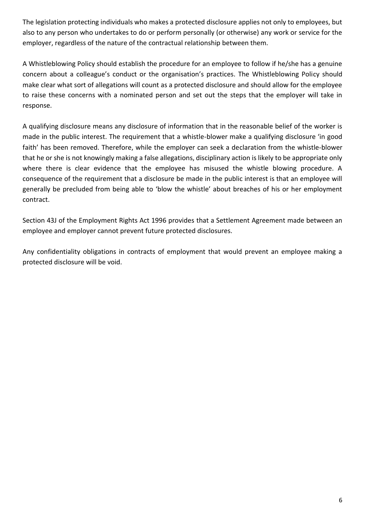The legislation protecting individuals who makes a protected disclosure applies not only to employees, but also to any person who undertakes to do or perform personally (or otherwise) any work or service for the employer, regardless of the nature of the contractual relationship between them.

A Whistleblowing Policy should establish the procedure for an employee to follow if he/she has a genuine concern about a colleague's conduct or the organisation's practices. The Whistleblowing Policy should make clear what sort of allegations will count as a protected disclosure and should allow for the employee to raise these concerns with a nominated person and set out the steps that the employer will take in response.

A qualifying disclosure means any disclosure of information that in the reasonable belief of the worker is made in the public interest. The requirement that a whistle-blower make a qualifying disclosure 'in good faith' has been removed. Therefore, while the employer can seek a declaration from the whistle-blower that he or she is not knowingly making a false allegations, disciplinary action is likely to be appropriate only where there is clear evidence that the employee has misused the whistle blowing procedure. A consequence of the requirement that a disclosure be made in the public interest is that an employee will generally be precluded from being able to 'blow the whistle' about breaches of his or her employment contract.

Section 43J of the Employment Rights Act 1996 provides that a Settlement Agreement made between an employee and employer cannot prevent future protected disclosures.

Any confidentiality obligations in contracts of employment that would prevent an employee making a protected disclosure will be void.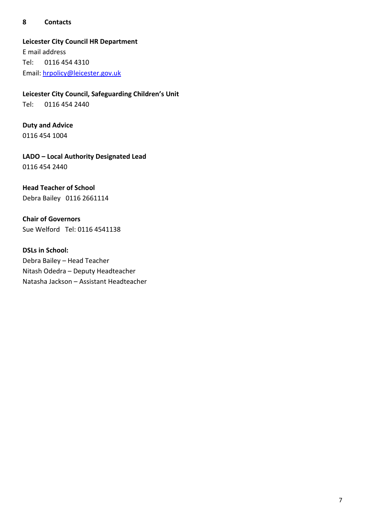#### **8 Contacts**

#### **Leicester City Council HR Department**

E mail address Tel: 0116 454 4310 Email: [hrpolicy@leicester.gov.uk](mailto:hrpolicy@leicester.gov.uk)

**Leicester City Council, Safeguarding Children's Unit** 

Tel: 0116 454 2440

# **Duty and Advice**

0116 454 1004

**LADO – Local Authority Designated Lead** 0116 454 2440

# **Head Teacher of School**

Debra Bailey 0116 2661114

**Chair of Governors** Sue Welford Tel: 0116 4541138

#### **DSLs in School:**

Debra Bailey – Head Teacher Nitash Odedra – Deputy Headteacher Natasha Jackson – Assistant Headteacher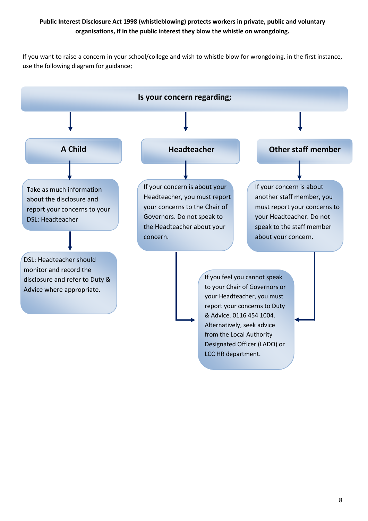#### **Public Interest Disclosure Act 1998 (whistleblowing) protects workers in private, public and voluntary organisations, if in the public interest they blow the whistle on wrongdoing.**

If you want to raise a concern in your school/college and wish to whistle blow for wrongdoing, in the first instance, use the following diagram for guidance;